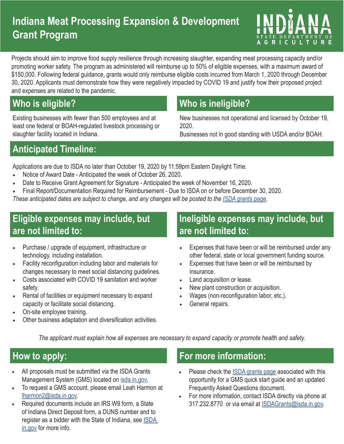# **Indiana Meat Processing Expansion & Development Grant Program**



Projects should aim to improve food supply resilience through increasing slaughter, expanding meat processing capacity and/or promoting worker safety. The program as administered will reimburse up to 50% of eligible expenses, with a maximum award of \$150,000. Following federal guidance, grants would only reimburse eligible costs incurred from March 1, 2020 through December 30, 2020. Applicants must demonstrate how they were negatively impacted by COVID 19 and justify how their proposed project and expenses are related to the pandemic.

Existing businesses with fewer than 500 employees and at least one federal or BOAH-regulated livestock processing or slaughter facility located in Indiana.

# **Who is eligible? Who is ineligible?**

New businesses not operational and licensed by October 19, 2020.

Businesses not in good standing with USDA and/or BOAH.

## **Anticipated Timeline:**

Applications are due to ISDA no later than October 19, 2020 by 11:59pm Eastern Daylight Time.

- Notice of Award Date Anticipated the week of October 26, 2020.
- Date to Receive Grant Agreement for Signature Anticipated the week of November 16, 2020.
- Final Report/Documentation Required for Reimbursement Due to ISDA on or before December 30, 2020.

*These anticipated dates are subject to change, and any changes will be posted to the ISDA grants page*.

## **Eligible expenses may include, but are not limited to:**

- Purchase / upgrade of equipment, infrastructure or technology, including installation.
- Facility reconfiguration including labor and materials for changes necessary to meet social distancing guidelines.
- Costs associated with COVID 19 sanitation and worker safety.
- Rental of facilities or equipment necessary to expand capacity or facilitate social distancing.
- On-site employee training.
- Other business adaptation and diversification activities.

#### **Ineligible expenses may include, but are not limited to:**

- Expenses that have been or will be reimbursed under any other federal, state or local government funding source.
- Expenses that have been or will be reimbursed by insurance.
- Land acquisition or lease.
- New plant construction or acquisition.
- Wages (non-reconfiguration labor, etc.).
- General repairs.

*The applicant must explain how all expenses are necessary to expand capacity or promote health and safety.* 

- All proposals must be submitted via the ISDA Grants Management System (GMS) located on isda.in.gov.
- To request a GMS account, please email Leah Harmon at lharmon2@isda.in.gov.
- Required documents include an IRS W9 form, a State of Indiana Direct Deposit form, a DUNS number and to register as a bidder with the State of Indiana, see ISDA. in.gov for more info.

## **How to apply: For more information:**

- Please check the **ISDA grants page** associated with this opportunity for a GMS quick start guide and an updated Frequently Asked Questions document.
- For more information, contact ISDA directly via phone at 317.232.8770 or via email at ISDAGrants@isda.in.gov.